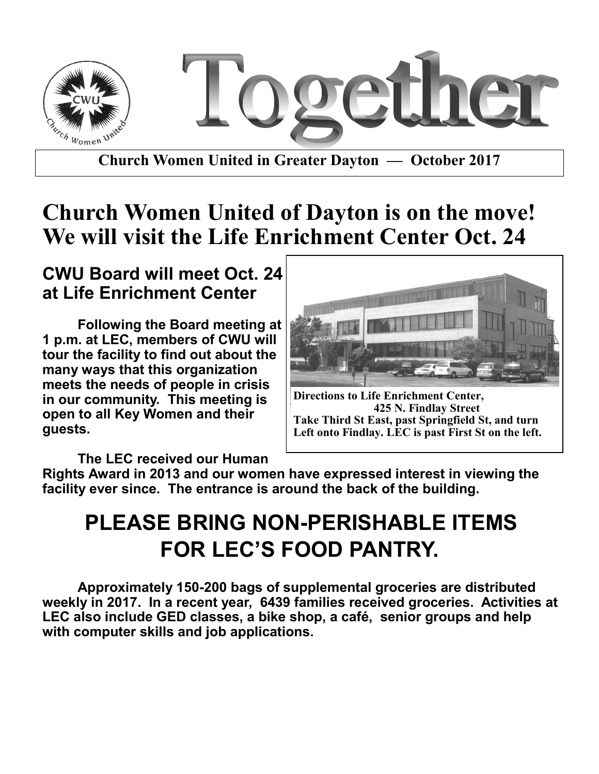

**Church Women United in Greater Dayton — October 2017**

# **Church Women United of Dayton is on the move! We will visit the Life Enrichment Center Oct. 24**

#### **CWU Board will meet Oct. 24 at Life Enrichment Center**

**Following the Board meeting at 1 p.m. at LEC, members of CWU will tour the facility to find out about the many ways that this organization meets the needs of people in crisis in our community. This meeting is open to all Key Women and their guests.**



**Directions to Life Enrichment Center, 425 N. Findlay Street Take Third St East, past Springfield St, and turn Left onto Findlay. LEC is past First St on the left.**

**The LEC received our Human** 

**Rights Award in 2013 and our women have expressed interest in viewing the facility ever since. The entrance is around the back of the building.** 

# **PLEASE BRING NON-PERISHABLE ITEMS FOR LEC'S FOOD PANTRY.**

**Approximately 150-200 bags of supplemental groceries are distributed weekly in 2017. In a recent year, 6439 families received groceries. Activities at LEC also include GED classes, a bike shop, a café, senior groups and help with computer skills and job applications.**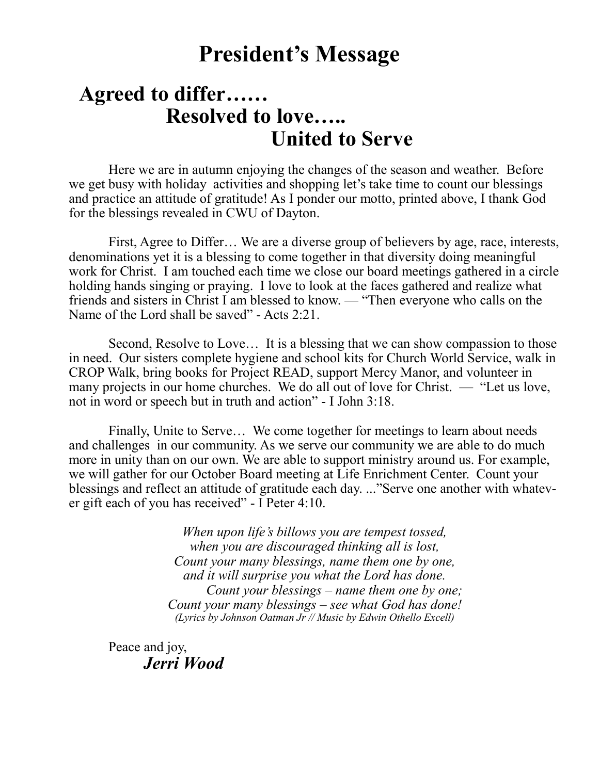## **President's Message**

#### **Agreed to differ…… Resolved to love….. United to Serve**

Here we are in autumn enjoying the changes of the season and weather. Before we get busy with holiday activities and shopping let's take time to count our blessings and practice an attitude of gratitude! As I ponder our motto, printed above, I thank God for the blessings revealed in CWU of Dayton.

First, Agree to Differ… We are a diverse group of believers by age, race, interests, denominations yet it is a blessing to come together in that diversity doing meaningful work for Christ. I am touched each time we close our board meetings gathered in a circle holding hands singing or praying. I love to look at the faces gathered and realize what friends and sisters in Christ I am blessed to know. — "Then everyone who calls on the Name of the Lord shall be saved" - Acts 2:21.

Second, Resolve to Love… It is a blessing that we can show compassion to those in need. Our sisters complete hygiene and school kits for Church World Service, walk in CROP Walk, bring books for Project READ, support Mercy Manor, and volunteer in many projects in our home churches. We do all out of love for Christ. — "Let us love, not in word or speech but in truth and action" - I John 3:18.

Finally, Unite to Serve… We come together for meetings to learn about needs and challenges in our community. As we serve our community we are able to do much more in unity than on our own. We are able to support ministry around us. For example, we will gather for our October Board meeting at Life Enrichment Center. Count your blessings and reflect an attitude of gratitude each day. ..."Serve one another with whatever gift each of you has received" - I Peter 4:10.

> *When upon life's billows you are tempest tossed, when you are discouraged thinking all is lost, Count your many blessings, name them one by one, and it will surprise you what the Lord has done. Count your blessings – name them one by one; Count your many blessings – see what God has done! (Lyrics by Johnson Oatman Jr // Music by Edwin Othello Excell)*

Peace and joy, *Jerri Wood*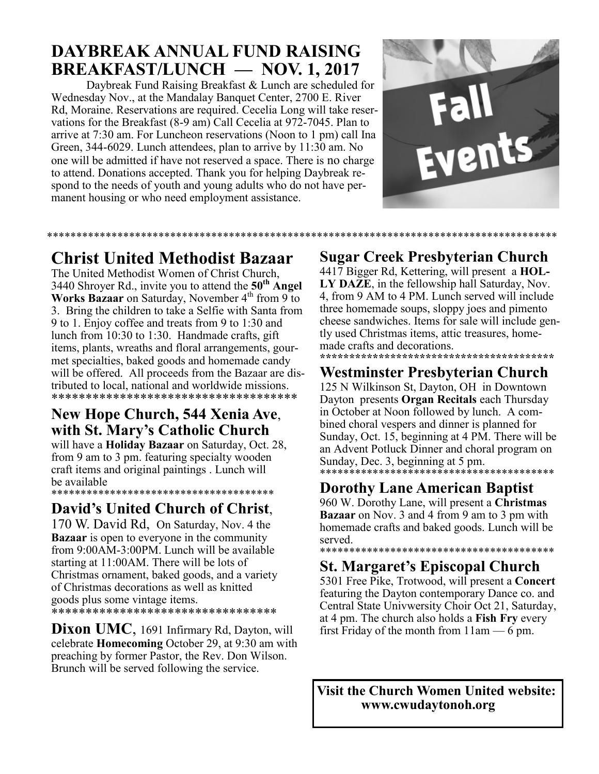#### **DAYBREAK ANNUAL FUND RAISING BREAKFAST/LUNCH — NOV. 1, 2017**

Daybreak Fund Raising Breakfast & Lunch are scheduled for Wednesday Nov., at the Mandalay Banquet Center, 2700 E. River Rd, Moraine. Reservations are required. Cecelia Long will take reservations for the Breakfast (8-9 am) Call Cecelia at 972-7045. Plan to arrive at 7:30 am. For Luncheon reservations (Noon to 1 pm) call Ina Green, 344-6029. Lunch attendees, plan to arrive by 11:30 am. No one will be admitted if have not reserved a space. There is no charge to attend. Donations accepted. Thank you for helping Daybreak respond to the needs of youth and young adults who do not have permanent housing or who need employment assistance.

\*\*\*\*\*\*\*\*\*\*\*\*\*\*\*\*\*\*\*\*\*\*\*\*\*\*\*\*\*\*\*\*\*\*\*\*\*\*\*\*\*\*\*\*\*\*\*\*\*\*\*\*\*\*\*\*\*\*\*\*\*\*\*\*\*\*\*\*\*\*\*\*\*\*\*\*\*\*\*\*\*\*\*\*\*\*\*



#### **Christ United Methodist Bazaar**

The United Methodist Women of Christ Church, 3440 Shroyer Rd., invite you to attend the **50th Angel**  Works Bazaar on Saturday, November 4<sup>th</sup> from 9 to 3. Bring the children to take a Selfie with Santa from 9 to 1. Enjoy coffee and treats from 9 to 1:30 and lunch from 10:30 to 1:30. Handmade crafts, gift items, plants, wreaths and floral arrangements, gourmet specialties, baked goods and homemade candy will be offered. All proceeds from the Bazaar are distributed to local, national and worldwide missions. \*\*\*\*\*\*\*\*\*\*\*\*\*\*\*\*\*\*\*\*\*\*\*\*\*\*\*\*\*\*\*\*\*\*\*\*

#### **New Hope Church, 544 Xenia Ave**, **with St. Mary's Catholic Church**

will have a **Holiday Bazaar** on Saturday, Oct. 28, from 9 am to 3 pm. featuring specialty wooden craft items and original paintings . Lunch will be available \*\*\*\*\*\*\*\*\*\*\*\*\*\*\*\*\*\*\*\*\*\*\*\*\*\*\*\*\*\*\*\*\*\*\*\*\*\*

#### **David's United Church of Christ**,

170 W. David Rd, On Saturday, Nov. 4 the **Bazaar** is open to everyone in the community from 9:00AM-3:00PM. Lunch will be available starting at 11:00AM. There will be lots of Christmas ornament, baked goods, and a variety of Christmas decorations as well as knitted goods plus some vintage items. \*\*\*\*\*\*\*\*\*\*\*\*\*\*\*\*\*\*\*\*\*\*\*\*\*\*\*\*\*\*\*\*\*\*\*

**Dixon UMC**, 1691 Infirmary Rd, Dayton, will celebrate **Homecoming** October 29, at 9:30 am with preaching by former Pastor, the Rev. Don Wilson. Brunch will be served following the service.

#### **Sugar Creek Presbyterian Church**

4417 Bigger Rd, Kettering, will present a **HOL-LY DAZE**, in the fellowship hall Saturday, Nov. 4, from 9 AM to 4 PM. Lunch served will include three homemade soups, sloppy joes and pimento cheese sandwiches. Items for sale will include gently used Christmas items, attic treasures, homemade crafts and decorations. **\*\*\*\*\*\*\*\*\*\*\*\*\*\*\*\*\*\*\*\*\*\*\*\*\*\*\*\*\*\*\*\*\*\*\*\*\*\*\*\***

#### **Westminster Presbyterian Church**

125 N Wilkinson St, Dayton, OH in Downtown Dayton presents **Organ Recitals** each Thursday in October at Noon followed by lunch. A combined choral vespers and dinner is planned for Sunday, Oct. 15, beginning at 4 PM. There will be an Advent Potluck Dinner and choral program on Sunday, Dec. 3, beginning at 5 pm. \*\*\*\*\*\*\*\*\*\*\*\*\*\*\*\*\*\*\*\*\*\*\*\*\*\*\*\*\*

#### **Dorothy Lane American Baptist**

960 W. Dorothy Lane, will present a **Christmas Bazaar** on Nov. 3 and 4 from 9 am to 3 pm with homemade crafts and baked goods. Lunch will be served.

#### \*\*\*\*\*\*\*\*\*\*\*\*\*\*\*\*\*\*\*\*\*\*\*\*\*\*\*\*\*\*\*\*\*\*\*\*\*\*\*\* **St. Margaret's Episcopal Church**

5301 Free Pike, Trotwood, will present a **Concert**  featuring the Dayton contemporary Dance co. and Central State Univwersity Choir Oct 21, Saturday, at 4 pm. The church also holds a **Fish Fry** every first Friday of the month from  $11$ am  $-6$  pm.

**Visit the Church Women United website: www.cwudaytonoh.org**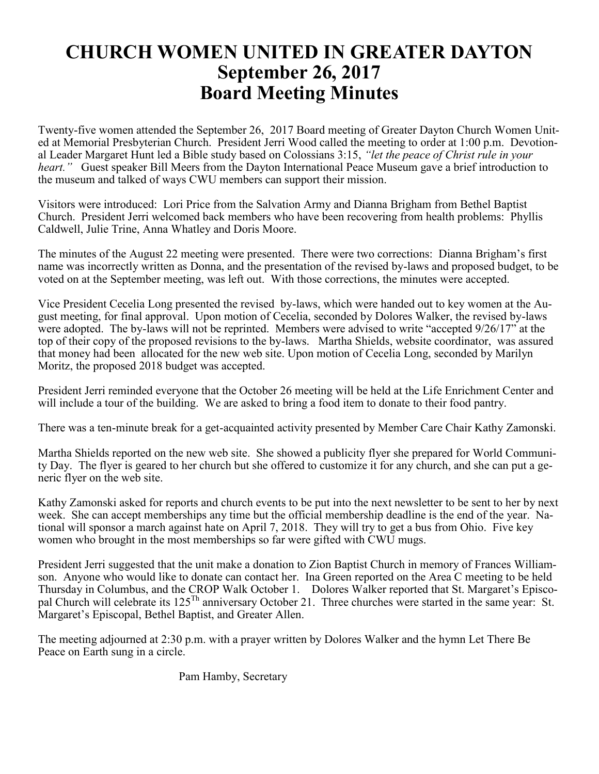#### **CHURCH WOMEN UNITED IN GREATER DAYTON September 26, 2017 Board Meeting Minutes**

Twenty-five women attended the September 26, 2017 Board meeting of Greater Dayton Church Women United at Memorial Presbyterian Church. President Jerri Wood called the meeting to order at 1:00 p.m. Devotional Leader Margaret Hunt led a Bible study based on Colossians 3:15, *"let the peace of Christ rule in your heart.*" Guest speaker Bill Meers from the Dayton International Peace Museum gave a brief introduction to the museum and talked of ways CWU members can support their mission.

Visitors were introduced: Lori Price from the Salvation Army and Dianna Brigham from Bethel Baptist Church. President Jerri welcomed back members who have been recovering from health problems: Phyllis Caldwell, Julie Trine, Anna Whatley and Doris Moore.

The minutes of the August 22 meeting were presented. There were two corrections: Dianna Brigham's first name was incorrectly written as Donna, and the presentation of the revised by-laws and proposed budget, to be voted on at the September meeting, was left out. With those corrections, the minutes were accepted.

Vice President Cecelia Long presented the revised by-laws, which were handed out to key women at the August meeting, for final approval. Upon motion of Cecelia, seconded by Dolores Walker, the revised by-laws were adopted. The by-laws will not be reprinted. Members were advised to write "accepted 9/26/17" at the top of their copy of the proposed revisions to the by-laws. Martha Shields, website coordinator, was assured that money had been allocated for the new web site. Upon motion of Cecelia Long, seconded by Marilyn Moritz, the proposed 2018 budget was accepted.

President Jerri reminded everyone that the October 26 meeting will be held at the Life Enrichment Center and will include a tour of the building. We are asked to bring a food item to donate to their food pantry.

There was a ten-minute break for a get-acquainted activity presented by Member Care Chair Kathy Zamonski.

Martha Shields reported on the new web site. She showed a publicity flyer she prepared for World Community Day. The flyer is geared to her church but she offered to customize it for any church, and she can put a generic flyer on the web site.

Kathy Zamonski asked for reports and church events to be put into the next newsletter to be sent to her by next week. She can accept memberships any time but the official membership deadline is the end of the year. National will sponsor a march against hate on April 7, 2018. They will try to get a bus from Ohio. Five key women who brought in the most memberships so far were gifted with CWU mugs.

President Jerri suggested that the unit make a donation to Zion Baptist Church in memory of Frances Williamson. Anyone who would like to donate can contact her. Ina Green reported on the Area C meeting to be held Thursday in Columbus, and the CROP Walk October 1. Dolores Walker reported that St. Margaret's Episcopal Church will celebrate its  $125^{Th}$  anniversary October 21. Three churches were started in the same year: St. Margaret's Episcopal, Bethel Baptist, and Greater Allen.

The meeting adjourned at 2:30 p.m. with a prayer written by Dolores Walker and the hymn Let There Be Peace on Earth sung in a circle.

Pam Hamby, Secretary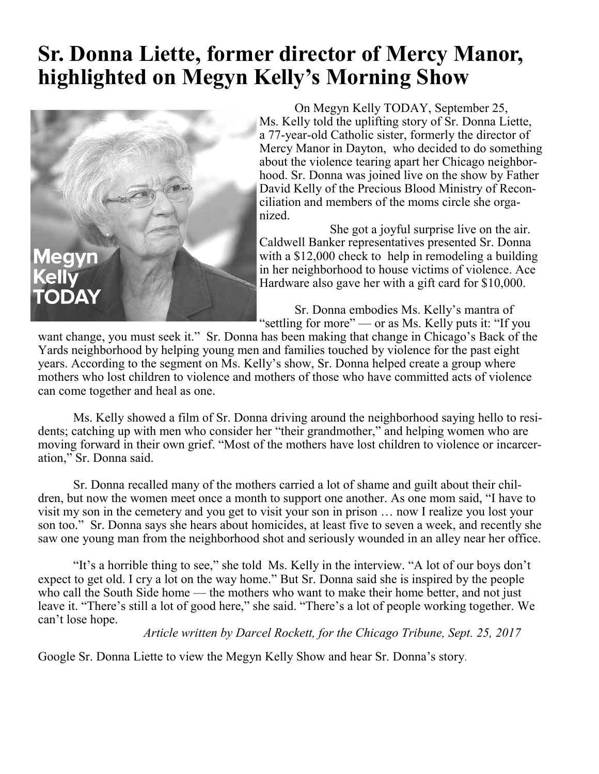# **Sr. Donna Liette, former director of Mercy Manor, highlighted on Megyn Kelly's Morning Show**



On Megyn Kelly TODAY, September 25, Ms. Kelly told the uplifting story of Sr. Donna Liette, a 77-year-old Catholic sister, formerly the director of Mercy Manor in Dayton, who decided to do something about the violence tearing apart her Chicago neighborhood. Sr. Donna was joined live on the show by Father David Kelly of the Precious Blood Ministry of Reconciliation and members of the moms circle she organized.

She got a joyful surprise live on the air. Caldwell Banker representatives presented Sr. Donna with a \$12,000 check to help in remodeling a building in her neighborhood to house victims of violence. Ace Hardware also gave her with a gift card for \$10,000.

Sr. Donna embodies Ms. Kelly's mantra of "settling for more" — or as Ms. Kelly puts it: "If you

want change, you must seek it." Sr. Donna has been making that change in Chicago's Back of the Yards neighborhood by helping young men and families touched by violence for the past eight years. According to the segment on Ms. Kelly's show, Sr. Donna helped create a group where mothers who lost children to violence and mothers of those who have committed acts of violence can come together and heal as one.

Ms. Kelly showed a film of Sr. Donna driving around the neighborhood saying hello to residents; catching up with men who consider her "their grandmother," and helping women who are moving forward in their own grief. "Most of the mothers have lost children to violence or incarceration," Sr. Donna said.

Sr. Donna recalled many of the mothers carried a lot of shame and guilt about their children, but now the women meet once a month to support one another. As one mom said, "I have to visit my son in the cemetery and you get to visit your son in prison … now I realize you lost your son too." Sr. Donna says she hears about homicides, at least five to seven a week, and recently she saw one young man from the neighborhood shot and seriously wounded in an alley near her office.

"It's a horrible thing to see," she told Ms. Kelly in the interview. "A lot of our boys don't expect to get old. I cry a lot on the way home." But Sr. Donna said she is inspired by the people who call the South Side home — the mothers who want to make their home better, and not just leave it. "There's still a lot of good here," she said. "There's a lot of people working together. We can't lose hope.

*Article written by Darcel Rockett, for the Chicago Tribune, Sept. 25, 2017*

Google Sr. Donna Liette to view the Megyn Kelly Show and hear Sr. Donna's story.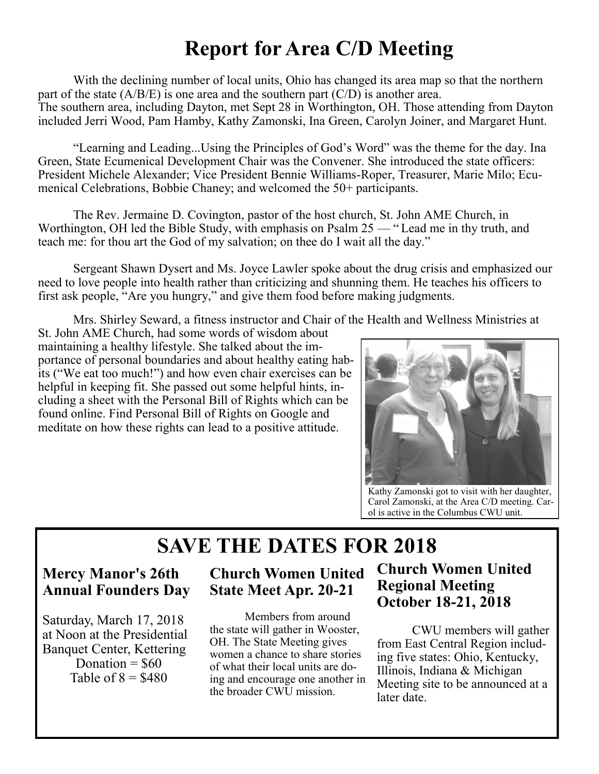# **Report for Area C/D Meeting**

With the declining number of local units, Ohio has changed its area map so that the northern part of the state  $(A/B/E)$  is one area and the southern part  $(C/D)$  is another area. The southern area, including Dayton, met Sept 28 in Worthington, OH. Those attending from Dayton included Jerri Wood, Pam Hamby, Kathy Zamonski, Ina Green, Carolyn Joiner, and Margaret Hunt.

"Learning and Leading...Using the Principles of God's Word" was the theme for the day. Ina Green, State Ecumenical Development Chair was the Convener. She introduced the state officers: President Michele Alexander; Vice President Bennie Williams-Roper, Treasurer, Marie Milo; Ecumenical Celebrations, Bobbie Chaney; and welcomed the 50+ participants.

The Rev. Jermaine D. Covington, pastor of the host church, St. John AME Church, in Worthington, OH led the Bible Study, with emphasis on Psalm 25 — " Lead me in thy truth, and teach me: for thou art the God of my salvation; on thee do I wait all the day."

Sergeant Shawn Dysert and Ms. Joyce Lawler spoke about the drug crisis and emphasized our need to love people into health rather than criticizing and shunning them. He teaches his officers to first ask people, "Are you hungry," and give them food before making judgments.

Mrs. Shirley Seward, a fitness instructor and Chair of the Health and Wellness Ministries at

St. John AME Church, had some words of wisdom about maintaining a healthy lifestyle. She talked about the importance of personal boundaries and about healthy eating habits ("We eat too much!") and how even chair exercises can be helpful in keeping fit. She passed out some helpful hints, including a sheet with the Personal Bill of Rights which can be found online. Find Personal Bill of Rights on Google and meditate on how these rights can lead to a positive attitude.



Kathy Zamonski got to visit with her daughter, Carol Zamonski, at the Area C/D meeting. Carol is active in the Columbus CWU unit.

## **SAVE THE DATES FOR 2018**

#### **Mercy Manor's 26th Annual Founders Day**

Saturday, March 17, 2018 at Noon at the Presidential Banquet Center, Kettering Donation  $=$  \$60 Table of  $8 = $480$ 

#### **Church Women United State Meet Apr. 20-21**

Members from around the state will gather in Wooster, OH. The State Meeting gives women a chance to share stories of what their local units are doing and encourage one another in the broader CWU mission.

#### **Church Women United Regional Meeting October 18-21, 2018**

CWU members will gather from East Central Region including five states: Ohio, Kentucky, Illinois, Indiana & Michigan Meeting site to be announced at a later date.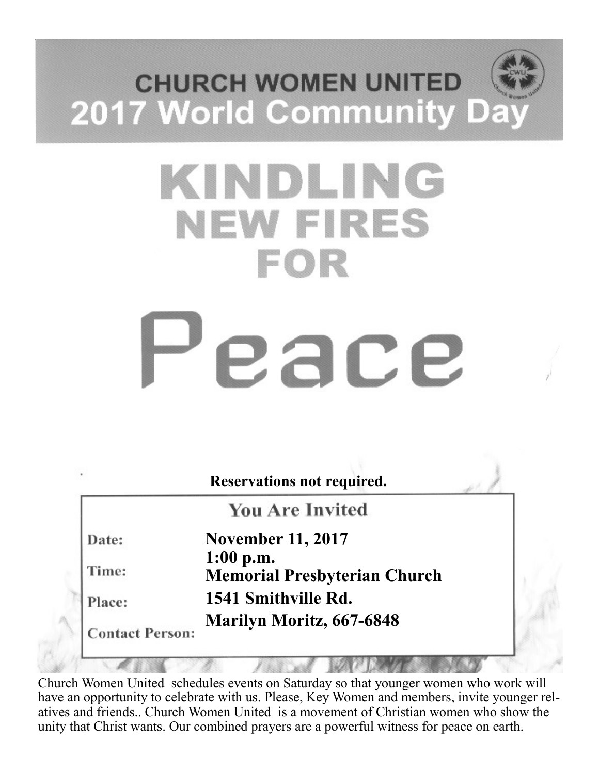# **CHURCH WOMEN UNITED** 2017 World Community Da

# KINDLING **NEW FIRES** FOR

# eace

|                        | <b>Reservations not required.</b>                  |
|------------------------|----------------------------------------------------|
|                        | <b>You Are Invited</b>                             |
| Date:                  | <b>November 11, 2017</b>                           |
| Time:                  | $1:00$ p.m.<br><b>Memorial Presbyterian Church</b> |
| Place:                 | 1541 Smithville Rd.                                |
| <b>Contact Person:</b> | <b>Marilyn Moritz, 667-6848</b>                    |

Church Women United schedules events on Saturday so that younger women who work will have an opportunity to celebrate with us. Please, Key Women and members, invite younger relatives and friends.. Church Women United is a movement of Christian women who show the unity that Christ wants. Our combined prayers are a powerful witness for peace on earth.